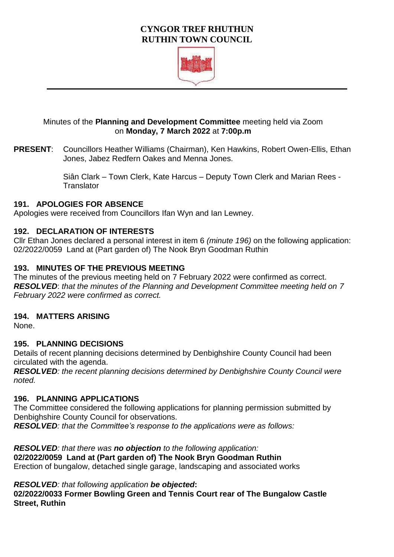# **CYNGOR TREF RHUTHUN RUTHIN TOWN COUNCIL**



## Minutes of the **Planning and Development Committee** meeting held via Zoom on **Monday, 7 March 2022** at **7:00p.m**

**PRESENT**: Councillors Heather Williams (Chairman), Ken Hawkins, Robert Owen-Ellis, Ethan Jones, Jabez Redfern Oakes and Menna Jones.

> Siân Clark – Town Clerk, Kate Harcus – Deputy Town Clerk and Marian Rees - **Translator**

## **191. APOLOGIES FOR ABSENCE**

Apologies were received from Councillors Ifan Wyn and Ian Lewney.

## **192. DECLARATION OF INTERESTS**

Cllr Ethan Jones declared a personal interest in item 6 *(minute 196)* on the following application: 02/2022/0059 Land at (Part garden of) The Nook Bryn Goodman Ruthin

## **193. MINUTES OF THE PREVIOUS MEETING**

The minutes of the previous meeting held on 7 February 2022 were confirmed as correct. *RESOLVED*: *that the minutes of the Planning and Development Committee meeting held on 7 February 2022 were confirmed as correct.* 

## **194. MATTERS ARISING**

None.

# **195. PLANNING DECISIONS**

Details of recent planning decisions determined by Denbighshire County Council had been circulated with the agenda.

*RESOLVED: the recent planning decisions determined by Denbighshire County Council were noted.* 

## **196. PLANNING APPLICATIONS**

The Committee considered the following applications for planning permission submitted by Denbighshire County Council for observations. *RESOLVED: that the Committee's response to the applications were as follows:* 

*RESOLVED: that there was no objection to the following application:*  **02/2022/0059 Land at (Part garden of) The Nook Bryn Goodman Ruthin** Erection of bungalow, detached single garage, landscaping and associated works

*RESOLVED: that following application be objected***:**

**02/2022/0033 Former Bowling Green and Tennis Court rear of The Bungalow Castle Street, Ruthin**